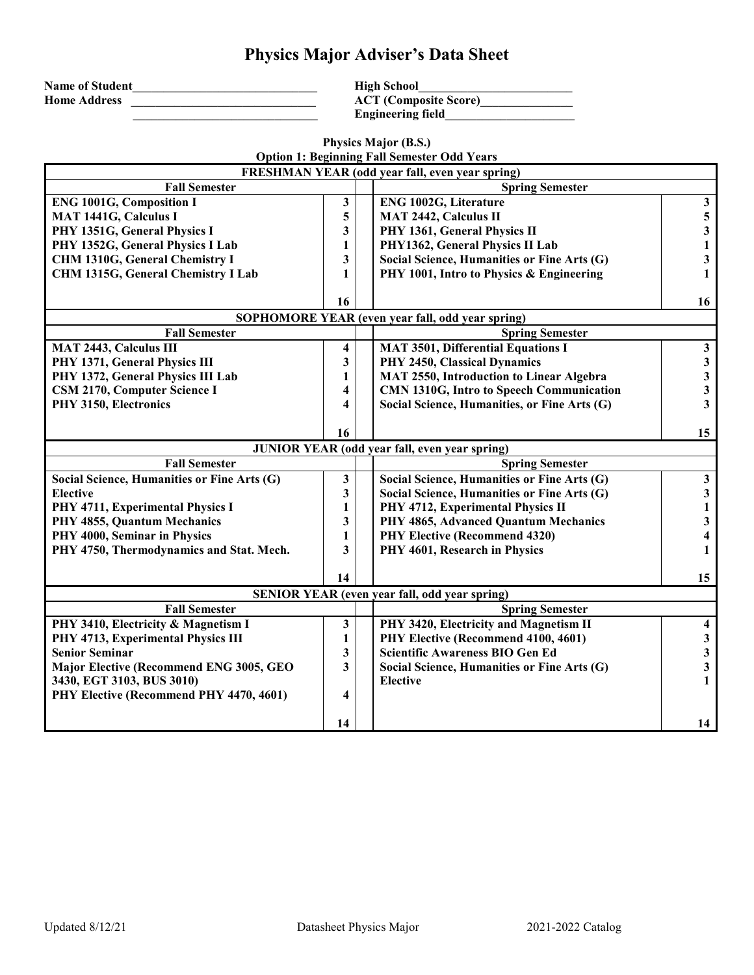## **Physics Major Adviser's Data Sheet**

| <b>Name of Student</b> |  |
|------------------------|--|
| <b>Home Address</b>    |  |
|                        |  |

 $High School$  $\widetilde{ACT (Composite Score)}$ **\_\_\_\_\_\_\_\_\_\_\_\_\_\_\_\_\_\_\_\_\_\_\_\_\_\_\_\_\_\_ Engineering field\_\_\_\_\_\_\_\_\_\_\_\_\_\_\_\_\_\_\_\_\_**

|                                             |                         |  | Physics Major (B.S.)<br><b>Option 1: Beginning Fall Semester Odd Years</b> |                         |  |
|---------------------------------------------|-------------------------|--|----------------------------------------------------------------------------|-------------------------|--|
|                                             |                         |  | FRESHMAN YEAR (odd year fall, even year spring)                            |                         |  |
| <b>Fall Semester</b>                        |                         |  | <b>Spring Semester</b>                                                     |                         |  |
| <b>ENG 1001G, Composition I</b>             | 3                       |  | <b>ENG 1002G, Literature</b>                                               | $\mathbf{3}$            |  |
| MAT 1441G, Calculus I                       | 5                       |  | <b>MAT 2442, Calculus II</b>                                               | $\overline{\mathbf{5}}$ |  |
| PHY 1351G, General Physics I                | 3                       |  | PHY 1361, General Physics II                                               | $\overline{\mathbf{3}}$ |  |
| PHY 1352G, General Physics I Lab            | 1                       |  | PHY1362, General Physics II Lab                                            | $\mathbf{1}$            |  |
| CHM 1310G, General Chemistry I              | 3                       |  | Social Science, Humanities or Fine Arts (G)                                | $\mathbf{3}$            |  |
| CHM 1315G, General Chemistry I Lab          | 1                       |  | PHY 1001, Intro to Physics & Engineering                                   | $\mathbf{1}$            |  |
|                                             |                         |  |                                                                            |                         |  |
|                                             | 16                      |  |                                                                            | 16                      |  |
|                                             |                         |  | SOPHOMORE YEAR (even year fall, odd year spring)                           |                         |  |
| <b>Fall Semester</b>                        |                         |  | <b>Spring Semester</b>                                                     |                         |  |
| <b>MAT 2443, Calculus III</b>               | 4                       |  | <b>MAT 3501, Differential Equations I</b>                                  | $\mathbf{3}$            |  |
| PHY 1371, General Physics III               | 3                       |  | PHY 2450, Classical Dynamics                                               | $\mathbf{3}$            |  |
| PHY 1372, General Physics III Lab           | 1                       |  | <b>MAT 2550, Introduction to Linear Algebra</b>                            | $\overline{\mathbf{3}}$ |  |
| CSM 2170, Computer Science I                | 4                       |  | CMN 1310G, Intro to Speech Communication                                   | $\mathbf{3}$            |  |
| PHY 3150, Electronics                       | 4                       |  | Social Science, Humanities, or Fine Arts (G)                               | $\overline{\mathbf{3}}$ |  |
|                                             |                         |  |                                                                            |                         |  |
|                                             | 16                      |  |                                                                            | 15                      |  |
|                                             |                         |  | <b>JUNIOR YEAR (odd year fall, even year spring)</b>                       |                         |  |
| <b>Fall Semester</b>                        |                         |  | <b>Spring Semester</b>                                                     |                         |  |
| Social Science, Humanities or Fine Arts (G) | 3                       |  | Social Science, Humanities or Fine Arts (G)                                | $\mathbf{3}$            |  |
| <b>Elective</b>                             | $\overline{\mathbf{3}}$ |  | Social Science, Humanities or Fine Arts (G)                                | $\mathbf{3}$            |  |
| PHY 4711, Experimental Physics I            | $\mathbf{1}$            |  | PHY 4712, Experimental Physics II                                          | $\mathbf{1}$            |  |
| PHY 4855, Quantum Mechanics                 | 3                       |  | PHY 4865, Advanced Quantum Mechanics                                       | $\mathbf{3}$            |  |
| PHY 4000, Seminar in Physics                | 1                       |  | <b>PHY Elective (Recommend 4320)</b>                                       | $\overline{\mathbf{4}}$ |  |
| PHY 4750, Thermodynamics and Stat. Mech.    | 3                       |  | PHY 4601, Research in Physics                                              | $\mathbf{1}$            |  |
|                                             | 14                      |  |                                                                            | 15                      |  |
|                                             |                         |  | <b>SENIOR YEAR (even year fall, odd year spring)</b>                       |                         |  |
| <b>Fall Semester</b>                        |                         |  | <b>Spring Semester</b>                                                     |                         |  |
| PHY 3410, Electricity & Magnetism I         | 3                       |  | PHY 3420, Electricity and Magnetism II                                     | $\overline{\mathbf{4}}$ |  |
| PHY 4713, Experimental Physics III          | 1                       |  | PHY Elective (Recommend 4100, 4601)                                        | $\mathbf{3}$            |  |
| Senior Seminar                              | 3                       |  | Scientific Awareness BIO Gen Ed                                            | $\overline{\mathbf{3}}$ |  |
| Major Elective (Recommend ENG 3005, GEO     | 3                       |  | Social Science, Humanities or Fine Arts (G)                                | $\mathbf{3}$            |  |
| 3430, EGT 3103, BUS 3010)                   |                         |  | <b>Elective</b>                                                            | $\mathbf{1}$            |  |
| PHY Elective (Recommend PHY 4470, 4601)     | 4                       |  |                                                                            |                         |  |
|                                             |                         |  |                                                                            |                         |  |
|                                             | 14                      |  |                                                                            | 14                      |  |